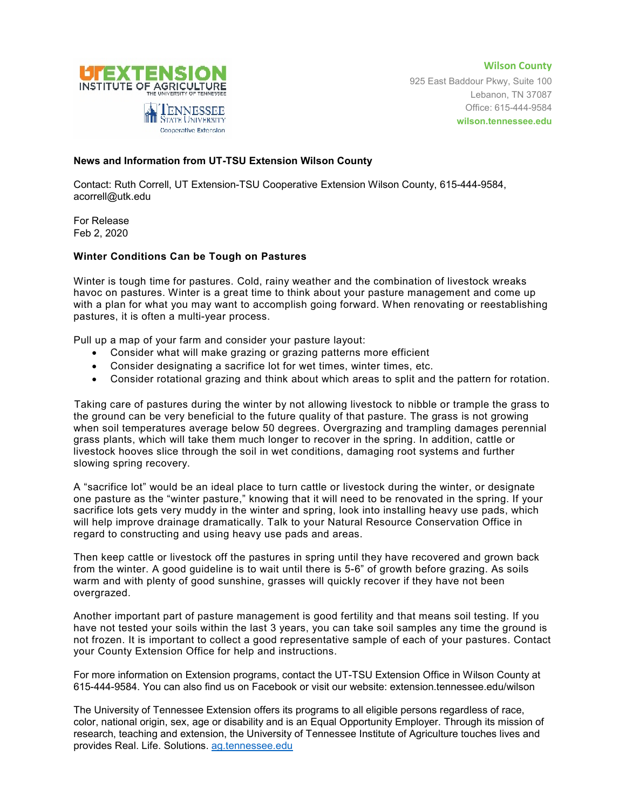



925 East Baddour Pkwy, Suite 100 Lebanon, TN 37087 Office: 615-444-9584 **wilson.tennessee.edu**

## **News and Information from UT-TSU Extension Wilson County**

Contact: Ruth Correll, UT Extension-TSU Cooperative Extension Wilson County, 615-444-9584, acorrell@utk.edu

For Release Feb 2, 2020

## **Winter Conditions Can be Tough on Pastures**

Winter is tough time for pastures. Cold, rainy weather and the combination of livestock wreaks havoc on pastures. Winter is a great time to think about your pasture management and come up with a plan for what you may want to accomplish going forward. When renovating or reestablishing pastures, it is often a multi-year process.

Pull up a map of your farm and consider your pasture layout:

- Consider what will make grazing or grazing patterns more efficient
- Consider designating a sacrifice lot for wet times, winter times, etc.
- Consider rotational grazing and think about which areas to split and the pattern for rotation.

Taking care of pastures during the winter by not allowing livestock to nibble or trample the grass to the ground can be very beneficial to the future quality of that pasture. The grass is not growing when soil temperatures average below 50 degrees. Overgrazing and trampling damages perennial grass plants, which will take them much longer to recover in the spring. In addition, cattle or livestock hooves slice through the soil in wet conditions, damaging root systems and further slowing spring recovery.

A "sacrifice lot" would be an ideal place to turn cattle or livestock during the winter, or designate one pasture as the "winter pasture," knowing that it will need to be renovated in the spring. If your sacrifice lots gets very muddy in the winter and spring, look into installing heavy use pads, which will help improve drainage dramatically. Talk to your Natural Resource Conservation Office in regard to constructing and using heavy use pads and areas.

Then keep cattle or livestock off the pastures in spring until they have recovered and grown back from the winter. A good guideline is to wait until there is 5-6" of growth before grazing. As soils warm and with plenty of good sunshine, grasses will quickly recover if they have not been overgrazed.

Another important part of pasture management is good fertility and that means soil testing. If you have not tested your soils within the last 3 years, you can take soil samples any time the ground is not frozen. It is important to collect a good representative sample of each of your pastures. Contact your County Extension Office for help and instructions.

For more information on Extension programs, contact the UT-TSU Extension Office in Wilson County at 615-444-9584. You can also find us on Facebook or visit our website: extension.tennessee.edu/wilson

The University of Tennessee Extension offers its programs to all eligible persons regardless of race, color, national origin, sex, age or disability and is an Equal Opportunity Employer. Through its mission of research, teaching and extension, the University of Tennessee Institute of Agriculture touches lives and provides Real. Life. Solutions. [ag.tennessee.edu](http://ag.tennessee.edu/)